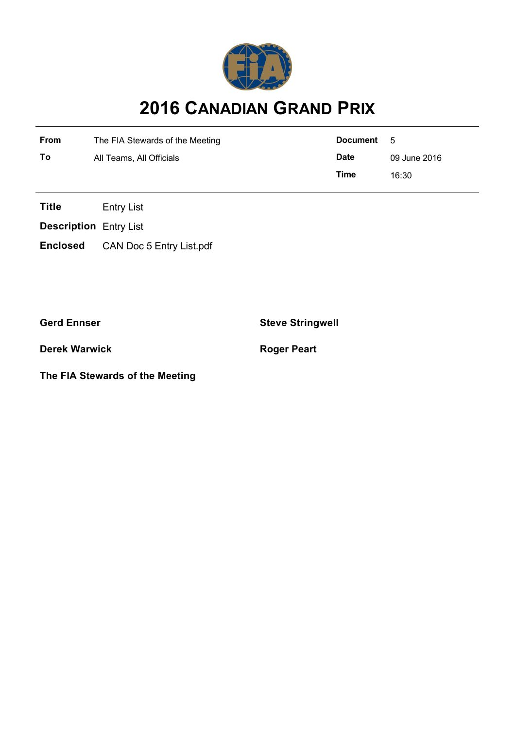

## **2016 CANADIAN GRAND PRIX**

| <b>From</b> | The FIA Stewards of the Meeting | Document    | - 5          |
|-------------|---------------------------------|-------------|--------------|
| Τo          | All Teams, All Officials        | <b>Date</b> | 09 June 2016 |
|             |                                 | Time        | 16:30        |

**Title** Entry List

**Description** Entry List

**Enclosed** CAN Doc 5 Entry List.pdf

**Derek Warwick Roger Peart** 

**The FIA Stewards of the Meeting**

**Gerd Ennser Steve Stringwell**